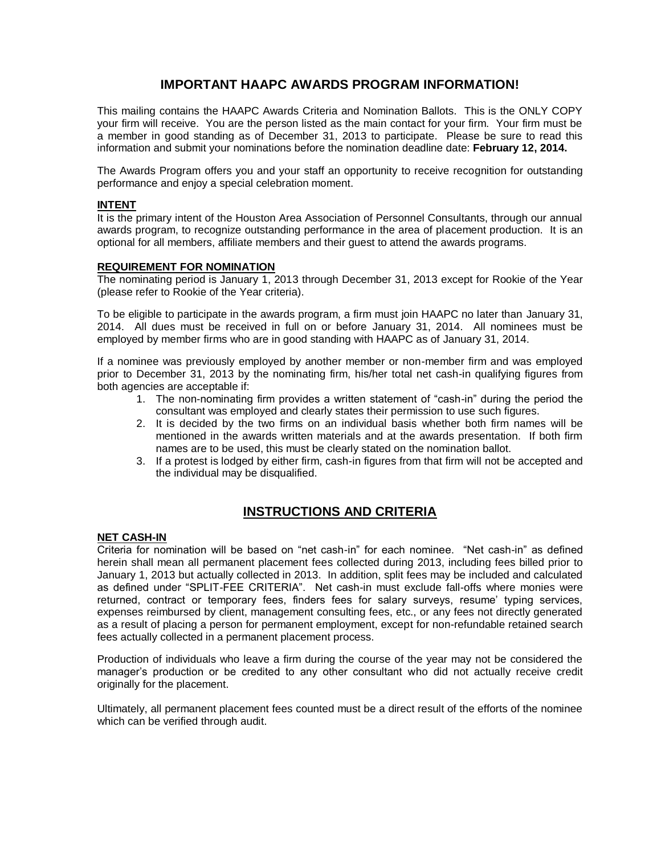# **IMPORTANT HAAPC AWARDS PROGRAM INFORMATION!**

This mailing contains the HAAPC Awards Criteria and Nomination Ballots. This is the ONLY COPY your firm will receive. You are the person listed as the main contact for your firm. Your firm must be a member in good standing as of December 31, 2013 to participate. Please be sure to read this information and submit your nominations before the nomination deadline date: **February 12, 2014.**

The Awards Program offers you and your staff an opportunity to receive recognition for outstanding performance and enjoy a special celebration moment.

### **INTENT**

It is the primary intent of the Houston Area Association of Personnel Consultants, through our annual awards program, to recognize outstanding performance in the area of placement production. It is an optional for all members, affiliate members and their guest to attend the awards programs.

### **REQUIREMENT FOR NOMINATION**

The nominating period is January 1, 2013 through December 31, 2013 except for Rookie of the Year (please refer to Rookie of the Year criteria).

To be eligible to participate in the awards program, a firm must join HAAPC no later than January 31, 2014. All dues must be received in full on or before January 31, 2014. All nominees must be employed by member firms who are in good standing with HAAPC as of January 31, 2014.

If a nominee was previously employed by another member or non-member firm and was employed prior to December 31, 2013 by the nominating firm, his/her total net cash-in qualifying figures from both agencies are acceptable if:

- 1. The non-nominating firm provides a written statement of "cash-in" during the period the consultant was employed and clearly states their permission to use such figures.
- 2. It is decided by the two firms on an individual basis whether both firm names will be mentioned in the awards written materials and at the awards presentation. If both firm names are to be used, this must be clearly stated on the nomination ballot.
- 3. If a protest is lodged by either firm, cash-in figures from that firm will not be accepted and the individual may be disqualified.

# **INSTRUCTIONS AND CRITERIA**

### **NET CASH-IN**

Criteria for nomination will be based on "net cash-in" for each nominee. "Net cash-in" as defined herein shall mean all permanent placement fees collected during 2013, including fees billed prior to January 1, 2013 but actually collected in 2013. In addition, split fees may be included and calculated as defined under "SPLIT-FEE CRITERIA". Net cash-in must exclude fall-offs where monies were returned, contract or temporary fees, finders fees for salary surveys, resume' typing services, expenses reimbursed by client, management consulting fees, etc., or any fees not directly generated as a result of placing a person for permanent employment, except for non-refundable retained search fees actually collected in a permanent placement process.

Production of individuals who leave a firm during the course of the year may not be considered the manager's production or be credited to any other consultant who did not actually receive credit originally for the placement.

Ultimately, all permanent placement fees counted must be a direct result of the efforts of the nominee which can be verified through audit.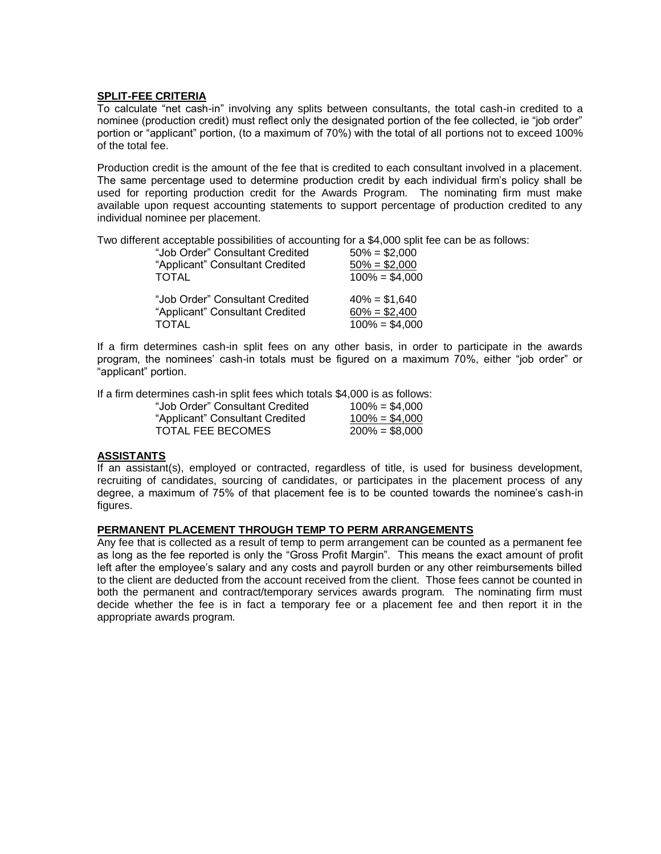### **SPLIT-FEE CRITERIA**

To calculate "net cash-in" involving any splits between consultants, the total cash-in credited to a nominee (production credit) must reflect only the designated portion of the fee collected, ie "job order" portion or "applicant" portion, (to a maximum of 70%) with the total of all portions not to exceed 100% of the total fee.

Production credit is the amount of the fee that is credited to each consultant involved in a placement. The same percentage used to determine production credit by each individual firm's policy shall be used for reporting production credit for the Awards Program. The nominating firm must make available upon request accounting statements to support percentage of production credited to any individual nominee per placement.

Two different acceptable possibilities of accounting for a \$4,000 split fee can be as follows:

| "Job Order" Consultant Credited | $50\% = $2,000$  |
|---------------------------------|------------------|
| "Applicant" Consultant Credited | $50\% = $2,000$  |
| <b>TOTAL</b>                    | $100\% = $4,000$ |
| "Job Order" Consultant Credited | $40\% = $1,640$  |
| "Applicant" Consultant Credited | $60\% = $2,400$  |
| <b>TOTAL</b>                    | $100\% = $4,000$ |

If a firm determines cash-in split fees on any other basis, in order to participate in the awards program, the nominees' cash-in totals must be figured on a maximum 70%, either "job order" or "applicant" portion.

If a firm determines cash-in split fees which totals \$4,000 is as follows:

| "Job Order" Consultant Credited | $100\% = $4.000$ |
|---------------------------------|------------------|
| "Applicant" Consultant Credited | $100\% = $4,000$ |
| <b>TOTAL FEE BECOMES</b>        | $200\% = $8,000$ |

### **ASSISTANTS**

If an assistant(s), employed or contracted, regardless of title, is used for business development, recruiting of candidates, sourcing of candidates, or participates in the placement process of any degree, a maximum of 75% of that placement fee is to be counted towards the nominee's cash-in figures.

### **PERMANENT PLACEMENT THROUGH TEMP TO PERM ARRANGEMENTS**

Any fee that is collected as a result of temp to perm arrangement can be counted as a permanent fee as long as the fee reported is only the "Gross Profit Margin". This means the exact amount of profit left after the employee's salary and any costs and payroll burden or any other reimbursements billed to the client are deducted from the account received from the client. Those fees cannot be counted in both the permanent and contract/temporary services awards program. The nominating firm must decide whether the fee is in fact a temporary fee or a placement fee and then report it in the appropriate awards program.